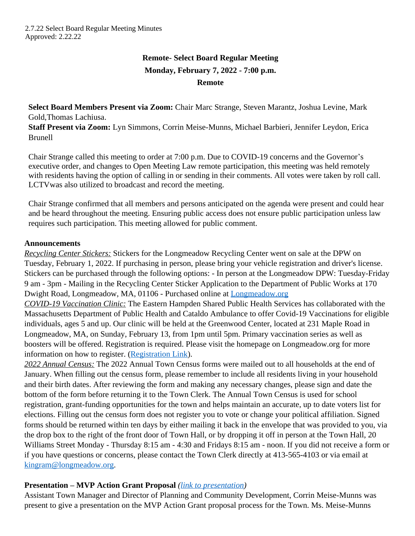# **Remote- Select Board Regular Meeting Monday, February 7, 2022 - 7:00 p.m. Remote**

**Select Board Members Present via Zoom:** Chair Marc Strange, Steven Marantz, Joshua Levine, Mark Gold,Thomas Lachiusa.

**Staff Present via Zoom:** Lyn Simmons, Corrin Meise-Munns, Michael Barbieri, Jennifer Leydon, Erica Brunell

Chair Strange called this meeting to order at 7:00 p.m. Due to COVID-19 concerns and the Governor's executive order, and changes to Open Meeting Law remote participation, this meeting was held remotely with residents having the option of calling in or sending in their comments. All votes were taken by roll call. LCTVwas also utilized to broadcast and record the meeting.

Chair Strange confirmed that all members and persons anticipated on the agenda were present and could hear and be heard throughout the meeting. Ensuring public access does not ensure public participation unless law requires such participation. This meeting allowed for public comment.

### **Announcements**

*Recycling Center Stickers:* Stickers for the Longmeadow Recycling Center went on sale at the DPW on Tuesday, February 1, 2022. If purchasing in person, please bring your vehicle registration and driver's license. Stickers can be purchased through the following options: - In person at the Longmeadow DPW: Tuesday-Friday 9 am - 3pm - Mailing in the Recycling Center Sticker Application to the Department of Public Works at 170 Dwight Road, Longmeadow, MA, 01106 - Purchased online at [Longmeadow.org](https://www.longmeadow.org/CivicAlerts.aspx?AID=804)

*COVID-19 Vaccination Clinic:* The Eastern Hampden Shared Public Health Services has collaborated with the Massachusetts Department of Public Health and Cataldo Ambulance to offer Covid-19 Vaccinations for eligible individuals, ages 5 and up. Our clinic will be held at the Greenwood Center, located at 231 Maple Road in Longmeadow, MA, on Sunday, February 13, from 1pm until 5pm. Primary vaccination series as well as boosters will be offered. Registration is required. Please visit the homepage on Longmeadow.org for more information on how to register. ([Registration Link\)](https://www.longmeadow.org/CivicAlerts.aspx?AID=801).

*2022 Annual Census:* The 2022 Annual Town Census forms were mailed out to all households at the end of January. When filling out the census form, please remember to include all residents living in your household and their birth dates. After reviewing the form and making any necessary changes, please sign and date the bottom of the form before returning it to the Town Clerk. The Annual Town Census is used for school registration, grant-funding opportunities for the town and helps maintain an accurate, up to date voters list for elections. Filling out the census form does not register you to vote or change your political affiliation. Signed forms should be returned within ten days by either mailing it back in the envelope that was provided to you, via the drop box to the right of the front door of Town Hall, or by dropping it off in person at the Town Hall, 20 Williams Street Monday - Thursday 8:15 am - 4:30 and Fridays 8:15 am - noon. If you did not receive a form or if you have questions or concerns, please contact the Town Clerk directly at 413-565-4103 or via email at [kingram@longmeadow.org](mailto:kingram@longmeadow.org).

## **Presentation – MVP Action Grant Proposal** *([link to presentation\)](file:///C:\\Users\\mbarbieri\\Downloads\\CPTC_Ralph-Willmer_How-to-Create-a-Master-Plan_2015%20(1).pdf)*

Assistant Town Manager and Director of Planning and Community Development, Corrin Meise-Munns was present to give a presentation on the MVP Action Grant proposal process for the Town. Ms. Meise-Munns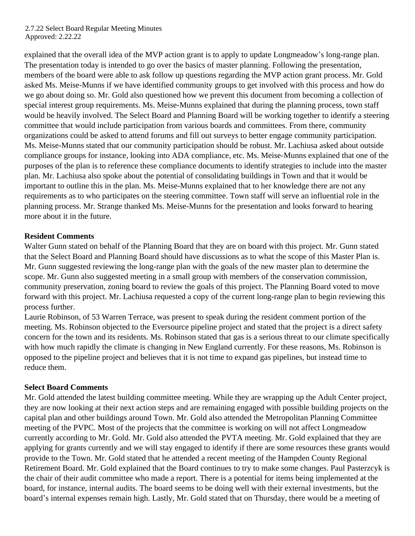explained that the overall idea of the MVP action grant is to apply to update Longmeadow's long-range plan. The presentation today is intended to go over the basics of master planning. Following the presentation, members of the board were able to ask follow up questions regarding the MVP action grant process. Mr. Gold asked Ms. Meise-Munns if we have identified community groups to get involved with this process and how do we go about doing so. Mr. Gold also questioned how we prevent this document from becoming a collection of special interest group requirements. Ms. Meise-Munns explained that during the planning process, town staff would be heavily involved. The Select Board and Planning Board will be working together to identify a steering committee that would include participation from various boards and committees. From there, community organizations could be asked to attend forums and fill out surveys to better engage community participation. Ms. Meise-Munns stated that our community participation should be robust. Mr. Lachiusa asked about outside compliance groups for instance, looking into ADA compliance, etc. Ms. Meise-Munns explained that one of the purposes of the plan is to reference these compliance documents to identify strategies to include into the master plan. Mr. Lachiusa also spoke about the potential of consolidating buildings in Town and that it would be important to outline this in the plan. Ms. Meise-Munns explained that to her knowledge there are not any requirements as to who participates on the steering committee. Town staff will serve an influential role in the planning process. Mr. Strange thanked Ms. Meise-Munns for the presentation and looks forward to hearing more about it in the future.

### **Resident Comments**

Walter Gunn stated on behalf of the Planning Board that they are on board with this project. Mr. Gunn stated that the Select Board and Planning Board should have discussions as to what the scope of this Master Plan is. Mr. Gunn suggested reviewing the long-range plan with the goals of the new master plan to determine the scope. Mr. Gunn also suggested meeting in a small group with members of the conservation commission, community preservation, zoning board to review the goals of this project. The Planning Board voted to move forward with this project. Mr. Lachiusa requested a copy of the current long-range plan to begin reviewing this process further.

Laurie Robinson, of 53 Warren Terrace, was present to speak during the resident comment portion of the meeting. Ms. Robinson objected to the Eversource pipeline project and stated that the project is a direct safety concern for the town and its residents. Ms. Robinson stated that gas is a serious threat to our climate specifically with how much rapidly the climate is changing in New England currently. For these reasons, Ms. Robinson is opposed to the pipeline project and believes that it is not time to expand gas pipelines, but instead time to reduce them.

### **Select Board Comments**

Mr. Gold attended the latest building committee meeting. While they are wrapping up the Adult Center project, they are now looking at their next action steps and are remaining engaged with possible building projects on the capital plan and other buildings around Town. Mr. Gold also attended the Metropolitan Planning Committee meeting of the PVPC. Most of the projects that the committee is working on will not affect Longmeadow currently according to Mr. Gold. Mr. Gold also attended the PVTA meeting. Mr. Gold explained that they are applying for grants currently and we will stay engaged to identify if there are some resources these grants would provide to the Town. Mr. Gold stated that he attended a recent meeting of the Hampden County Regional Retirement Board. Mr. Gold explained that the Board continues to try to make some changes. Paul Pasterzcyk is the chair of their audit committee who made a report. There is a potential for items being implemented at the board, for instance, internal audits. The board seems to be doing well with their external investments, but the board's internal expenses remain high. Lastly, Mr. Gold stated that on Thursday, there would be a meeting of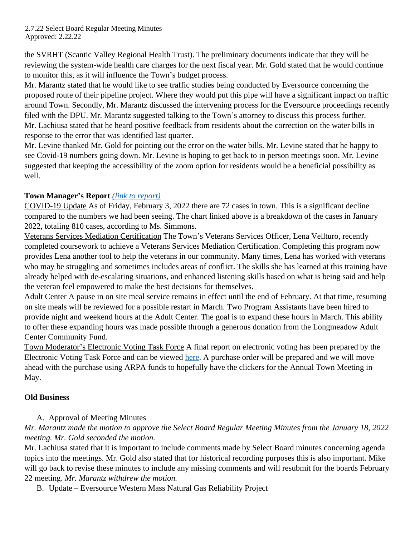the SVRHT (Scantic Valley Regional Health Trust). The preliminary documents indicate that they will be reviewing the system-wide health care charges for the next fiscal year. Mr. Gold stated that he would continue to monitor this, as it will influence the Town's budget process.

Mr. Marantz stated that he would like to see traffic studies being conducted by Eversource concerning the proposed route of their pipeline project. Where they would put this pipe will have a significant impact on traffic around Town. Secondly, Mr. Marantz discussed the intervening process for the Eversource proceedings recently filed with the DPU. Mr. Marantz suggested talking to the Town's attorney to discuss this process further. Mr. Lachiusa stated that he heard positive feedback from residents about the correction on the water bills in response to the error that was identified last quarter.

Mr. Levine thanked Mr. Gold for pointing out the error on the water bills. Mr. Levine stated that he happy to see Covid-19 numbers going down. Mr. Levine is hoping to get back to in person meetings soon. Mr. Levine suggested that keeping the accessibility of the zoom option for residents would be a beneficial possibility as well.

## **Town Manager's Report** *[\(link to report\)](https://www.longmeadow.org/DocumentCenter/View/6316/February-7-2022-)*

COVID-19 Update As of Friday, February 3, 2022 there are 72 cases in town. This is a significant decline compared to the numbers we had been seeing. The chart linked above is a breakdown of the cases in January 2022, totaling 810 cases, according to Ms. Simmons.

Veterans Services Mediation Certification The Town's Veterans Services Officer, Lena Vellturo, recently completed coursework to achieve a Veterans Services Mediation Certification. Completing this program now provides Lena another tool to help the veterans in our community. Many times, Lena has worked with veterans who may be struggling and sometimes includes areas of conflict. The skills she has learned at this training have already helped with de-escalating situations, and enhanced listening skills based on what is being said and help the veteran feel empowered to make the best decisions for themselves.

Adult Center A pause in on site meal service remains in effect until the end of February. At that time, resuming on site meals will be reviewed for a possible restart in March. Two Program Assistants have been hired to provide night and weekend hours at the Adult Center. The goal is to expand these hours in March. This ability to offer these expanding hours was made possible through a generous donation from the Longmeadow Adult Center Community Fund.

Town Moderator's Electronic Voting Task Force A final report on electronic voting has been prepared by the Electronic Voting Task Force and can be viewed [here.](https://www.longmeadow.org/DocumentCenter/View/6260/Electronic-Voting-Task-Force-Report-December-31-2021?bidId=) A purchase order will be prepared and we will move ahead with the purchase using ARPA funds to hopefully have the clickers for the Annual Town Meeting in May.

### **Old Business**

## A. Approval of Meeting Minutes

## *Mr. Marantz made the motion to approve the Select Board Regular Meeting Minutes from the January 18, 2022 meeting. Mr. Gold seconded the motion.*

Mr. Lachiusa stated that it is important to include comments made by Select Board minutes concerning agenda topics into the meetings. Mr. Gold also stated that for historical recording purposes this is also important. Mike will go back to revise these minutes to include any missing comments and will resubmit for the boards February 22 meeting. *Mr. Marantz withdrew the motion.*

B. Update – Eversource Western Mass Natural Gas Reliability Project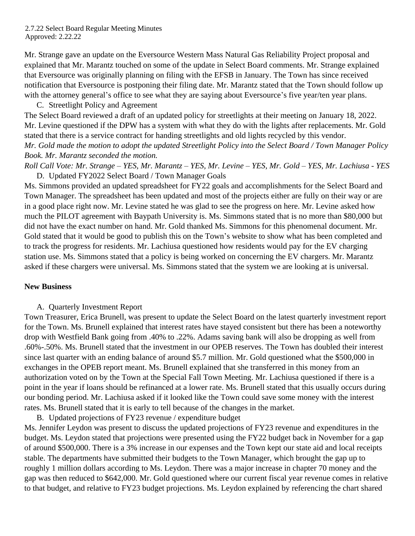Mr. Strange gave an update on the Eversource Western Mass Natural Gas Reliability Project proposal and explained that Mr. Marantz touched on some of the update in Select Board comments. Mr. Strange explained that Eversource was originally planning on filing with the EFSB in January. The Town has since received notification that Eversource is postponing their filing date. Mr. Marantz stated that the Town should follow up with the attorney general's office to see what they are saying about Eversource's five year/ten year plans.

C. Streetlight Policy and Agreement

The Select Board reviewed a draft of an updated policy for streetlights at their meeting on January 18, 2022. Mr. Levine questioned if the DPW has a system with what they do with the lights after replacements. Mr. Gold stated that there is a service contract for handing streetlights and old lights recycled by this vendor. *Mr. Gold made the motion to adopt the updated Streetlight Policy into the Select Board / Town Manager Policy Book. Mr. Marantz seconded the motion.* 

*Roll Call Vote: Mr. Strange – YES, Mr. Marantz – YES, Mr. Levine – YES, Mr. Gold – YES, Mr. Lachiusa - YES* D. Updated FY2022 Select Board / Town Manager Goals

Ms. Simmons provided an updated spreadsheet for FY22 goals and accomplishments for the Select Board and Town Manager. The spreadsheet has been updated and most of the projects either are fully on their way or are in a good place right now. Mr. Levine stated he was glad to see the progress on here. Mr. Levine asked how much the PILOT agreement with Baypath University is. Ms. Simmons stated that is no more than \$80,000 but did not have the exact number on hand. Mr. Gold thanked Ms. Simmons for this phenomenal document. Mr. Gold stated that it would be good to publish this on the Town's website to show what has been completed and to track the progress for residents. Mr. Lachiusa questioned how residents would pay for the EV charging station use. Ms. Simmons stated that a policy is being worked on concerning the EV chargers. Mr. Marantz asked if these chargers were universal. Ms. Simmons stated that the system we are looking at is universal.

#### **New Business**

A. Quarterly Investment Report

Town Treasurer, Erica Brunell, was present to update the Select Board on the latest quarterly investment report for the Town. Ms. Brunell explained that interest rates have stayed consistent but there has been a noteworthy drop with Westfield Bank going from .40% to .22%. Adams saving bank will also be dropping as well from .60%-.50%. Ms. Brunell stated that the investment in our OPEB reserves. The Town has doubled their interest since last quarter with an ending balance of around \$5.7 million. Mr. Gold questioned what the \$500,000 in exchanges in the OPEB report meant. Ms. Brunell explained that she transferred in this money from an authorization voted on by the Town at the Special Fall Town Meeting. Mr. Lachiusa questioned if there is a point in the year if loans should be refinanced at a lower rate. Ms. Brunell stated that this usually occurs during our bonding period. Mr. Lachiusa asked if it looked like the Town could save some money with the interest rates. Ms. Brunell stated that it is early to tell because of the changes in the market.

B. Updated projections of FY23 revenue / expenditure budget

Ms. Jennifer Leydon was present to discuss the updated projections of FY23 revenue and expenditures in the budget. Ms. Leydon stated that projections were presented using the FY22 budget back in November for a gap of around \$500,000. There is a 3% increase in our expenses and the Town kept our state aid and local receipts stable. The departments have submitted their budgets to the Town Manager, which brought the gap up to roughly 1 million dollars according to Ms. Leydon. There was a major increase in chapter 70 money and the gap was then reduced to \$642,000. Mr. Gold questioned where our current fiscal year revenue comes in relative to that budget, and relative to FY23 budget projections. Ms. Leydon explained by referencing the chart shared